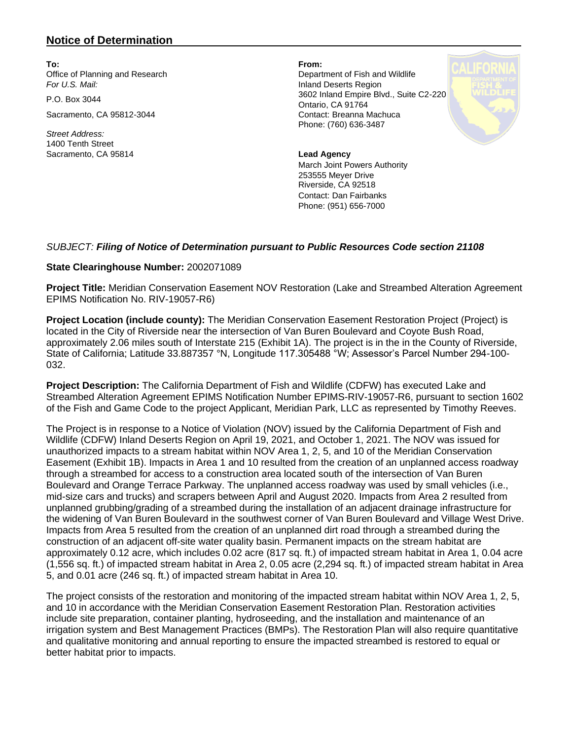## **Notice of Determination**

**To: From:** Office of Planning and Research **Department of Fish and Wildlife** *For U.S. Mail:* Inland Deserts Region

Sacramento, CA 95812-3044 Contact: Breanna Machuca

*Street Address:* 1400 Tenth Street Sacramento, CA 95814 **Lead Agency** 

P.O. Box 3044 3602 Inland Empire Blvd., Suite C2-220 Ontario, CA 91764 Phone: (760) 636-3487



March Joint Powers Authority 253555 Meyer Drive Riverside, CA 92518 Contact: Dan Fairbanks Phone: (951) 656-7000

## *SUBJECT: Filing of Notice of Determination pursuant to Public Resources Code section 21108*

## **State Clearinghouse Number:** 2002071089

**Project Title:** Meridian Conservation Easement NOV Restoration (Lake and Streambed Alteration Agreement EPIMS Notification No. RIV-19057-R6)

**Project Location (include county):** The Meridian Conservation Easement Restoration Project (Project) is located in the City of Riverside near the intersection of Van Buren Boulevard and Coyote Bush Road, approximately 2.06 miles south of Interstate 215 (Exhibit 1A). The project is in the in the County of Riverside, State of California; Latitude 33.887357 °N, Longitude 117.305488 °W; Assessor's Parcel Number 294-100- 032.

**Project Description:** The California Department of Fish and Wildlife (CDFW) has executed Lake and Streambed Alteration Agreement EPIMS Notification Number EPIMS-RIV-19057-R6, pursuant to section 1602 of the Fish and Game Code to the project Applicant, Meridian Park, LLC as represented by Timothy Reeves.

The Project is in response to a Notice of Violation (NOV) issued by the California Department of Fish and Wildlife (CDFW) Inland Deserts Region on April 19, 2021, and October 1, 2021. The NOV was issued for unauthorized impacts to a stream habitat within NOV Area 1, 2, 5, and 10 of the Meridian Conservation Easement (Exhibit 1B). Impacts in Area 1 and 10 resulted from the creation of an unplanned access roadway through a streambed for access to a construction area located south of the intersection of Van Buren Boulevard and Orange Terrace Parkway. The unplanned access roadway was used by small vehicles (i.e., mid-size cars and trucks) and scrapers between April and August 2020. Impacts from Area 2 resulted from unplanned grubbing/grading of a streambed during the installation of an adjacent drainage infrastructure for the widening of Van Buren Boulevard in the southwest corner of Van Buren Boulevard and Village West Drive. Impacts from Area 5 resulted from the creation of an unplanned dirt road through a streambed during the construction of an adjacent off-site water quality basin. Permanent impacts on the stream habitat are approximately 0.12 acre, which includes 0.02 acre (817 sq. ft.) of impacted stream habitat in Area 1, 0.04 acre (1,556 sq. ft.) of impacted stream habitat in Area 2, 0.05 acre (2,294 sq. ft.) of impacted stream habitat in Area 5, and 0.01 acre (246 sq. ft.) of impacted stream habitat in Area 10.

The project consists of the restoration and monitoring of the impacted stream habitat within NOV Area 1, 2, 5, and 10 in accordance with the Meridian Conservation Easement Restoration Plan. Restoration activities include site preparation, container planting, hydroseeding, and the installation and maintenance of an irrigation system and Best Management Practices (BMPs). The Restoration Plan will also require quantitative and qualitative monitoring and annual reporting to ensure the impacted streambed is restored to equal or better habitat prior to impacts.